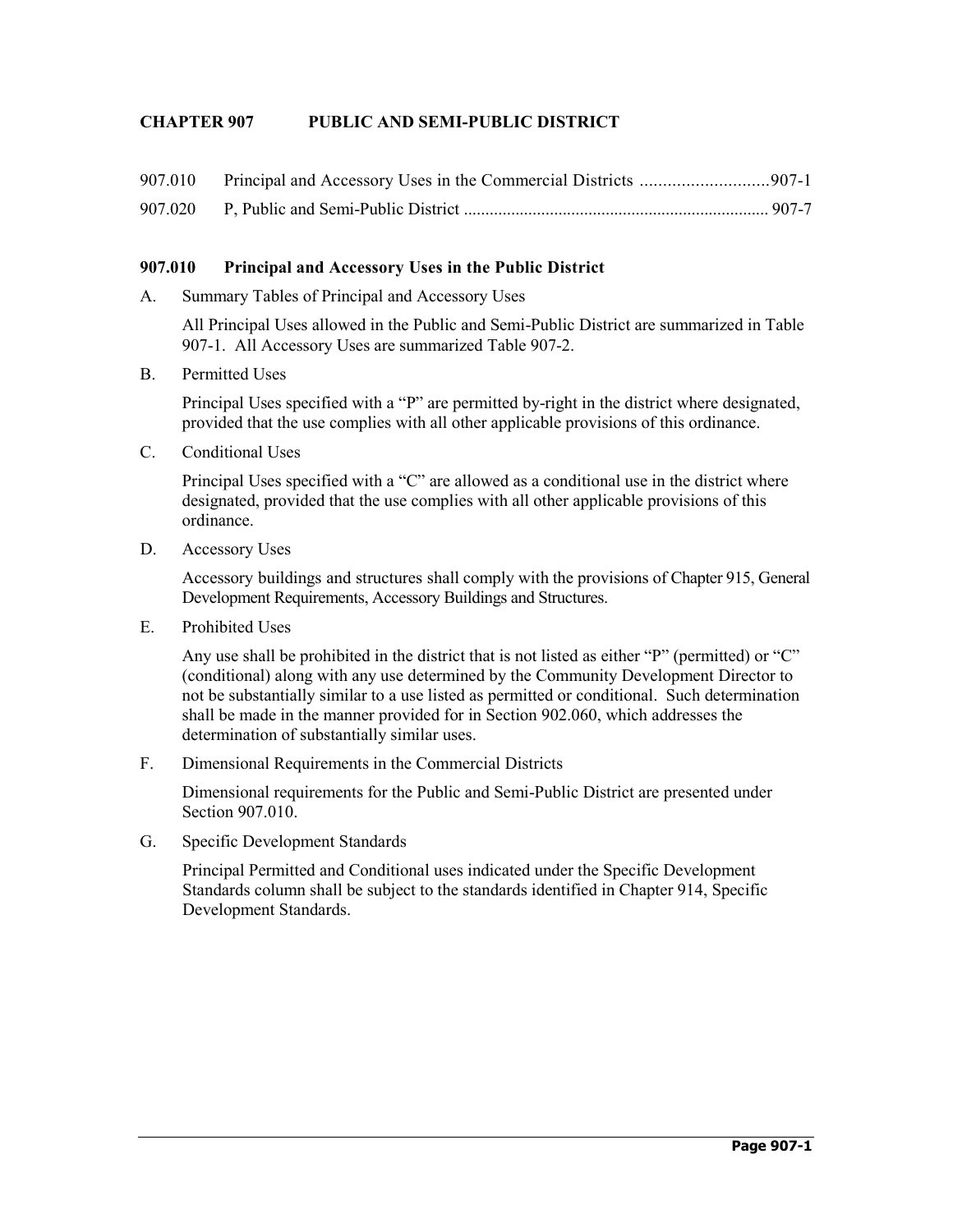## **CHAPTER 907 PUBLIC AND SEMI-PUBLIC DISTRICT**

| 907.010 Principal and Accessory Uses in the Commercial Districts  907-1 |  |
|-------------------------------------------------------------------------|--|
|                                                                         |  |

## **907.010 Principal and Accessory Uses in the Public District**

A. Summary Tables of Principal and Accessory Uses

All Principal Uses allowed in the Public and Semi-Public District are summarized in Table 907-1. All Accessory Uses are summarized Table 907-2.

B. Permitted Uses

Principal Uses specified with a "P" are permitted by-right in the district where designated, provided that the use complies with all other applicable provisions of this ordinance.

C. Conditional Uses

Principal Uses specified with a "C" are allowed as a conditional use in the district where designated, provided that the use complies with all other applicable provisions of this ordinance.

D. Accessory Uses

Accessory buildings and structures shall comply with the provisions of Chapter 915, General Development Requirements, Accessory Buildings and Structures.

E. Prohibited Uses

Any use shall be prohibited in the district that is not listed as either "P" (permitted) or "C" (conditional) along with any use determined by the Community Development Director to not be substantially similar to a use listed as permitted or conditional. Such determination shall be made in the manner provided for in Section 902.060, which addresses the determination of substantially similar uses.

F. Dimensional Requirements in the Commercial Districts

Dimensional requirements for the Public and Semi-Public District are presented under Section 907.010.

G. Specific Development Standards

Principal Permitted and Conditional uses indicated under the Specific Development Standards column shall be subject to the standards identified in Chapter 914, Specific Development Standards.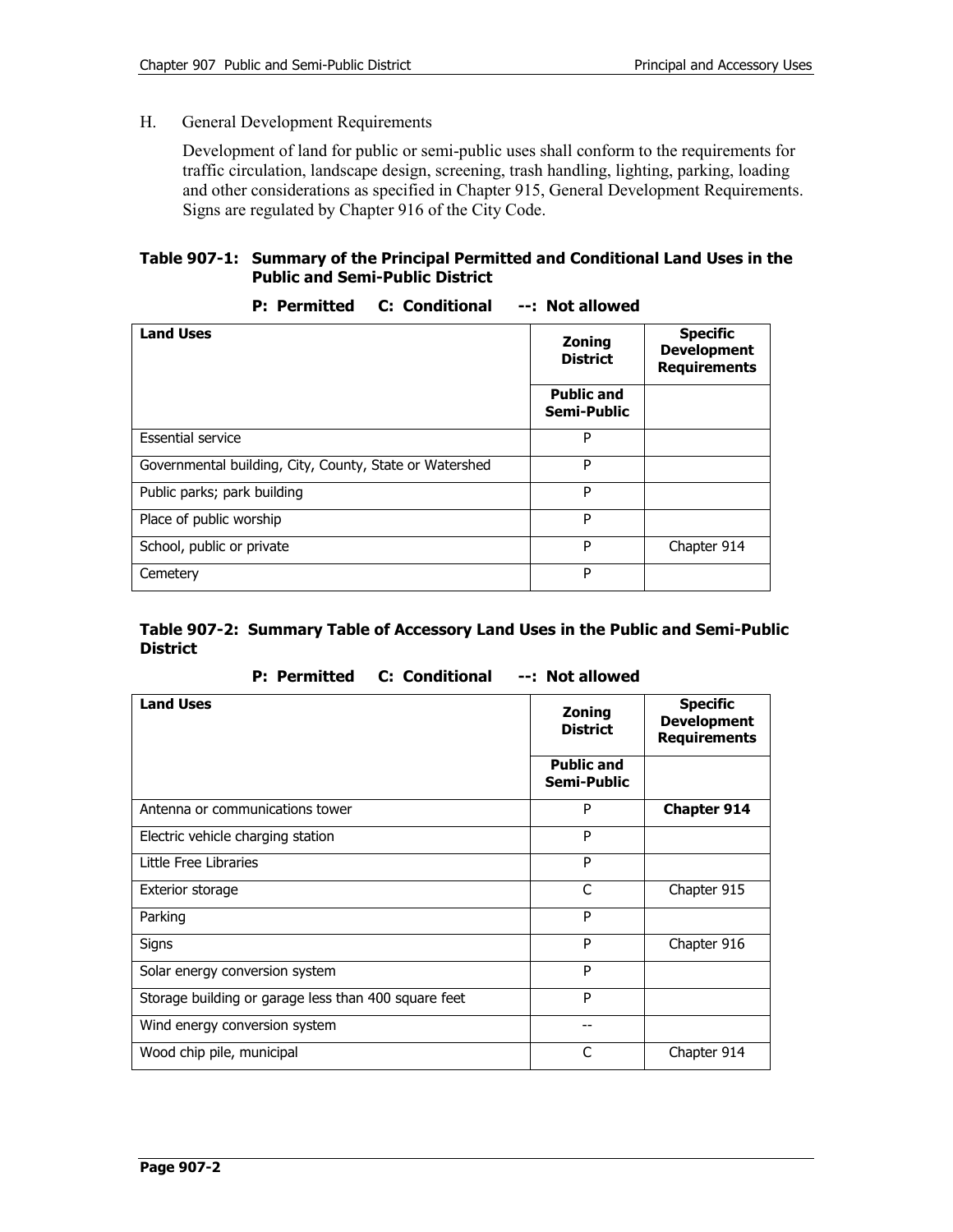#### H. General Development Requirements

Development of land for public or semi-public uses shall conform to the requirements for traffic circulation, landscape design, screening, trash handling, lighting, parking, loading and other considerations as specified in Chapter 915, General Development Requirements. Signs are regulated by Chapter 916 of the City Code.

## **Table 907-1: Summary of the Principal Permitted and Conditional Land Uses in the Public and Semi-Public District**

| <b>Land Uses</b>                                        | <b>Zoning</b><br><b>District</b> | <b>Specific</b><br><b>Development</b><br><b>Requirements</b> |
|---------------------------------------------------------|----------------------------------|--------------------------------------------------------------|
|                                                         | <b>Public and</b><br>Semi-Public |                                                              |
| <b>Essential service</b>                                | P                                |                                                              |
| Governmental building, City, County, State or Watershed | P                                |                                                              |
| Public parks; park building                             | P                                |                                                              |
| Place of public worship                                 | P                                |                                                              |
| School, public or private                               | P                                | Chapter 914                                                  |
| Cemetery                                                | P                                |                                                              |

## **P: Permitted C: Conditional --: Not allowed**

## **Table 907-2: Summary Table of Accessory Land Uses in the Public and Semi-Public District**

**P: Permitted C: Conditional --: Not allowed** 

| <b>Land Uses</b>                                     | <b>Zoning</b><br><b>District</b> | <b>Specific</b><br><b>Development</b><br><b>Requirements</b> |
|------------------------------------------------------|----------------------------------|--------------------------------------------------------------|
|                                                      | <b>Public and</b><br>Semi-Public |                                                              |
| Antenna or communications tower                      | P                                | <b>Chapter 914</b>                                           |
| Electric vehicle charging station                    | P                                |                                                              |
| Little Free Libraries                                | P                                |                                                              |
| Exterior storage                                     | C                                | Chapter 915                                                  |
| Parking                                              | P                                |                                                              |
| Signs                                                | P                                | Chapter 916                                                  |
| Solar energy conversion system                       | P                                |                                                              |
| Storage building or garage less than 400 square feet | P                                |                                                              |
| Wind energy conversion system                        | --                               |                                                              |
| Wood chip pile, municipal                            | C                                | Chapter 914                                                  |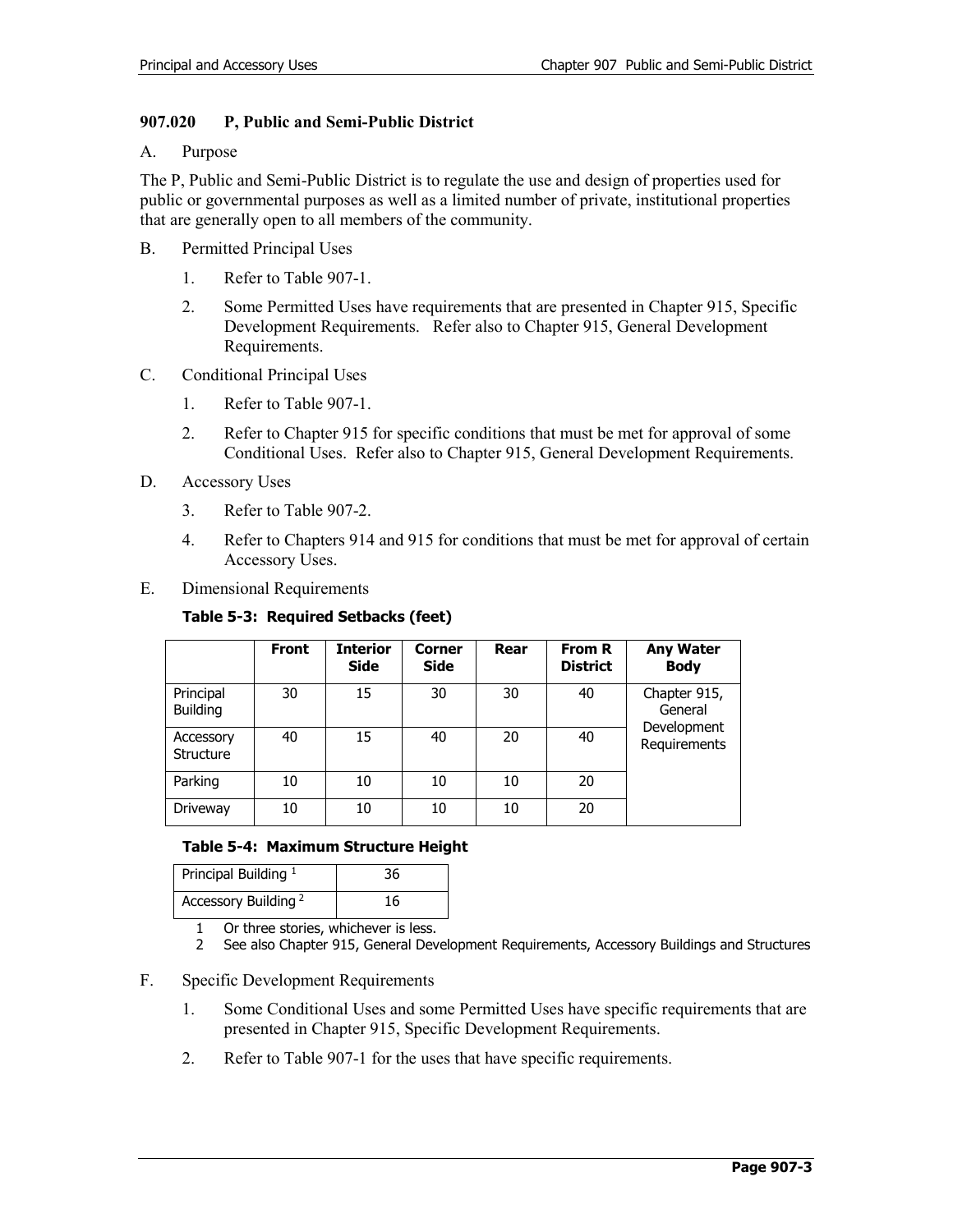## **907.020 P, Public and Semi-Public District**

#### A. Purpose

The P, Public and Semi-Public District is to regulate the use and design of properties used for public or governmental purposes as well as a limited number of private, institutional properties that are generally open to all members of the community.

- B. Permitted Principal Uses
	- 1. Refer to Table 907-1.
	- 2. Some Permitted Uses have requirements that are presented in Chapter 915, Specific Development Requirements. Refer also to Chapter 915, General Development Requirements.
- C. Conditional Principal Uses
	- 1. Refer to Table 907-1.
	- 2. Refer to Chapter 915 for specific conditions that must be met for approval of some Conditional Uses. Refer also to Chapter 915, General Development Requirements.
- D. Accessory Uses
	- 3. Refer to Table 907-2.
	- 4. Refer to Chapters 914 and 915 for conditions that must be met for approval of certain Accessory Uses.
- E. Dimensional Requirements

## **Table 5-3: Required Setbacks (feet)**

|                               | <b>Front</b> | <b>Interior</b><br><b>Side</b> | <b>Corner</b><br><b>Side</b> | Rear | From R<br><b>District</b> | <b>Any Water</b><br><b>Body</b>                        |
|-------------------------------|--------------|--------------------------------|------------------------------|------|---------------------------|--------------------------------------------------------|
| Principal<br><b>Building</b>  | 30           | 15                             | 30                           | 30   | 40                        | Chapter 915,<br>General<br>Development<br>Requirements |
| Accessory<br><b>Structure</b> | 40           | 15                             | 40                           | 20   | 40                        |                                                        |
| Parking                       | 10           | 10                             | 10                           | 10   | 20                        |                                                        |
| Driveway                      | 10           | 10                             | 10                           | 10   | 20                        |                                                        |

## **Table 5-4: Maximum Structure Height**

| Principal Building <sup>1</sup> | 36 |
|---------------------------------|----|
| Accessory Building <sup>2</sup> | 16 |

1 Or three stories, whichever is less.<br>2 See also Chapter 915. General Dev

- 2 See also Chapter 915, General Development Requirements, Accessory Buildings and Structures
- F. Specific Development Requirements
	- 1. Some Conditional Uses and some Permitted Uses have specific requirements that are presented in Chapter 915, Specific Development Requirements.
	- 2. Refer to Table 907-1 for the uses that have specific requirements.